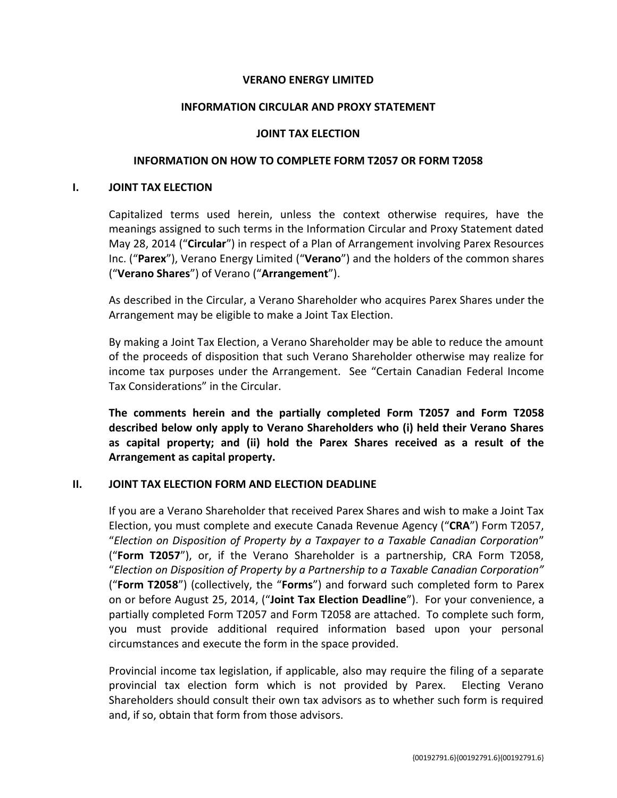# **VERANO ENERGY LIMITED**

### **INFORMATION CIRCULAR AND PROXY STATEMENT**

### **JOINT TAX ELECTION**

# **INFORMATION ON HOW TO COMPLETE FORM T2057 OR FORM T2058**

#### **I. JOINT TAX ELECTION**

Capitalized terms used herein, unless the context otherwise requires, have the meanings assigned to such terms in the Information Circular and Proxy Statement dated May 28, 2014 ("**Circular**") in respect of a Plan of Arrangement involving Parex Resources Inc. ("**Parex**"), Verano Energy Limited ("**Verano**") and the holders of the common shares ("**Verano Shares**") of Verano ("**Arrangement**").

As described in the Circular, a Verano Shareholder who acquires Parex Shares under the Arrangement may be eligible to make a Joint Tax Election.

By making a Joint Tax Election, a Verano Shareholder may be able to reduce the amount of the proceeds of disposition that such Verano Shareholder otherwise may realize for income tax purposes under the Arrangement. See "Certain Canadian Federal Income Tax Considerations" in the Circular.

**The comments herein and the partially completed Form T2057 and Form T2058 described below only apply to Verano Shareholders who (i) held their Verano Shares as capital property; and (ii) hold the Parex Shares received as a result of the Arrangement as capital property.**

### **II. JOINT TAX ELECTION FORM AND ELECTION DEADLINE**

If you are a Verano Shareholder that received Parex Shares and wish to make a Joint Tax Election, you must complete and execute Canada Revenue Agency ("**CRA**") Form T2057, "*Election on Disposition of Property by a Taxpayer to a Taxable Canadian Corporation*" ("**Form T2057**"), or, if the Verano Shareholder is a partnership, CRA Form T2058, "*Election on Disposition of Property by a Partnership to a Taxable Canadian Corporation"* ("**Form T2058**") (collectively, the "**Forms**") and forward such completed form to Parex on or before August 25, 2014, ("**Joint Tax Election Deadline**"). For your convenience, a partially completed Form T2057 and Form T2058 are attached. To complete such form, you must provide additional required information based upon your personal circumstances and execute the form in the space provided.

Provincial income tax legislation, if applicable, also may require the filing of a separate provincial tax election form which is not provided by Parex. Electing Verano Shareholders should consult their own tax advisors as to whether such form is required and, if so, obtain that form from those advisors.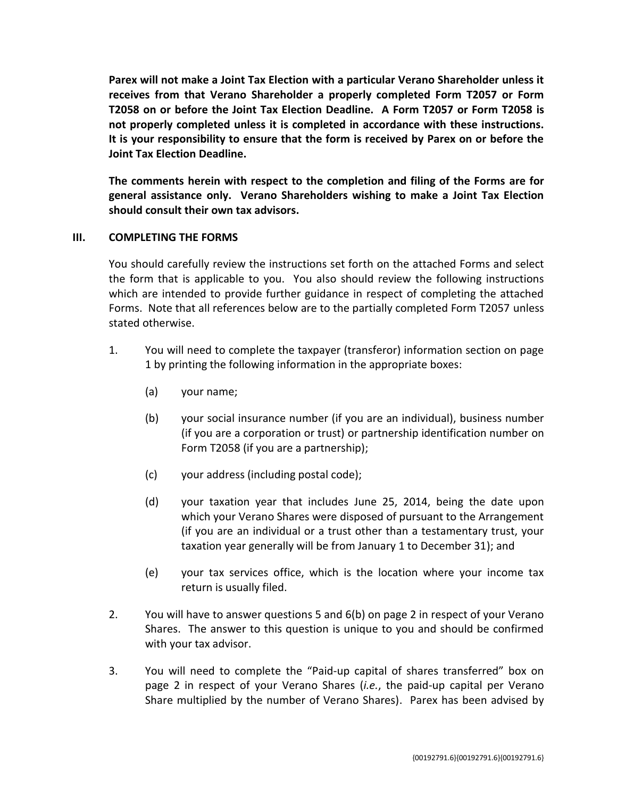**Parex will not make a Joint Tax Election with a particular Verano Shareholder unless it receives from that Verano Shareholder a properly completed Form T2057 or Form T2058 on or before the Joint Tax Election Deadline. A Form T2057 or Form T2058 is not properly completed unless it is completed in accordance with these instructions. It is your responsibility to ensure that the form is received by Parex on or before the Joint Tax Election Deadline.**

**The comments herein with respect to the completion and filing of the Forms are for general assistance only. Verano Shareholders wishing to make a Joint Tax Election should consult their own tax advisors.**

## **III. COMPLETING THE FORMS**

You should carefully review the instructions set forth on the attached Forms and select the form that is applicable to you. You also should review the following instructions which are intended to provide further guidance in respect of completing the attached Forms. Note that all references below are to the partially completed Form T2057 unless stated otherwise.

- 1. You will need to complete the taxpayer (transferor) information section on page 1 by printing the following information in the appropriate boxes:
	- (a) your name;
	- (b) your social insurance number (if you are an individual), business number (if you are a corporation or trust) or partnership identification number on Form T2058 (if you are a partnership);
	- (c) your address (including postal code);
	- (d) your taxation year that includes June 25, 2014, being the date upon which your Verano Shares were disposed of pursuant to the Arrangement (if you are an individual or a trust other than a testamentary trust, your taxation year generally will be from January 1 to December 31); and
	- (e) your tax services office, which is the location where your income tax return is usually filed.
- 2. You will have to answer questions 5 and 6(b) on page 2 in respect of your Verano Shares. The answer to this question is unique to you and should be confirmed with your tax advisor.
- 3. You will need to complete the "Paid-up capital of shares transferred" box on page 2 in respect of your Verano Shares (*i.e.*, the paid-up capital per Verano Share multiplied by the number of Verano Shares). Parex has been advised by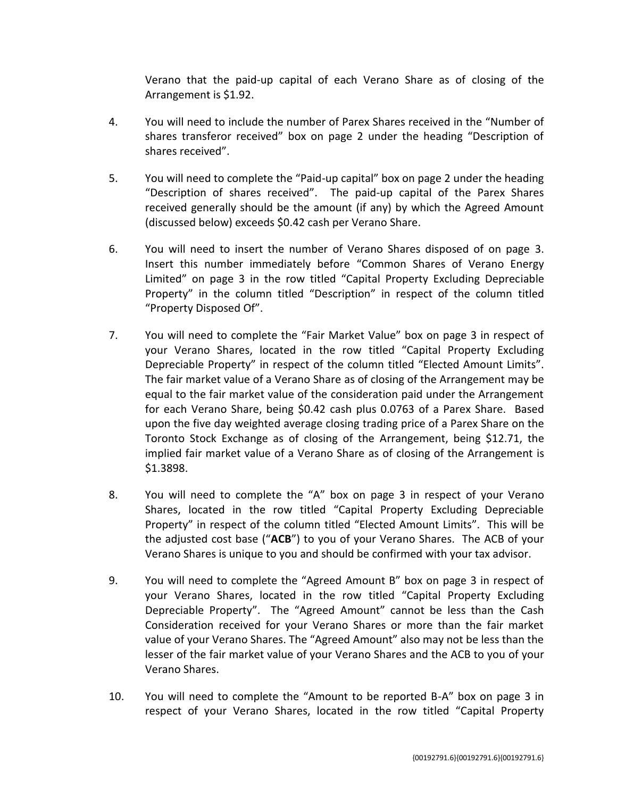Verano that the paid-up capital of each Verano Share as of closing of the Arrangement is \$1.92.

- 4. You will need to include the number of Parex Shares received in the "Number of shares transferor received" box on page 2 under the heading "Description of shares received".
- 5. You will need to complete the "Paid-up capital" box on page 2 under the heading "Description of shares received". The paid-up capital of the Parex Shares received generally should be the amount (if any) by which the Agreed Amount (discussed below) exceeds \$0.42 cash per Verano Share.
- 6. You will need to insert the number of Verano Shares disposed of on page 3. Insert this number immediately before "Common Shares of Verano Energy Limited" on page 3 in the row titled "Capital Property Excluding Depreciable Property" in the column titled "Description" in respect of the column titled "Property Disposed Of".
- 7. You will need to complete the "Fair Market Value" box on page 3 in respect of your Verano Shares, located in the row titled "Capital Property Excluding Depreciable Property" in respect of the column titled "Elected Amount Limits". The fair market value of a Verano Share as of closing of the Arrangement may be equal to the fair market value of the consideration paid under the Arrangement for each Verano Share, being \$0.42 cash plus 0.0763 of a Parex Share. Based upon the five day weighted average closing trading price of a Parex Share on the Toronto Stock Exchange as of closing of the Arrangement, being \$12.71, the implied fair market value of a Verano Share as of closing of the Arrangement is \$1.3898.
- 8. You will need to complete the "A" box on page 3 in respect of your Verano Shares, located in the row titled "Capital Property Excluding Depreciable Property" in respect of the column titled "Elected Amount Limits". This will be the adjusted cost base ("**ACB**") to you of your Verano Shares. The ACB of your Verano Shares is unique to you and should be confirmed with your tax advisor.
- 9. You will need to complete the "Agreed Amount B" box on page 3 in respect of your Verano Shares, located in the row titled "Capital Property Excluding Depreciable Property". The "Agreed Amount" cannot be less than the Cash Consideration received for your Verano Shares or more than the fair market value of your Verano Shares. The "Agreed Amount" also may not be less than the lesser of the fair market value of your Verano Shares and the ACB to you of your Verano Shares.
- 10. You will need to complete the "Amount to be reported B-A" box on page 3 in respect of your Verano Shares, located in the row titled "Capital Property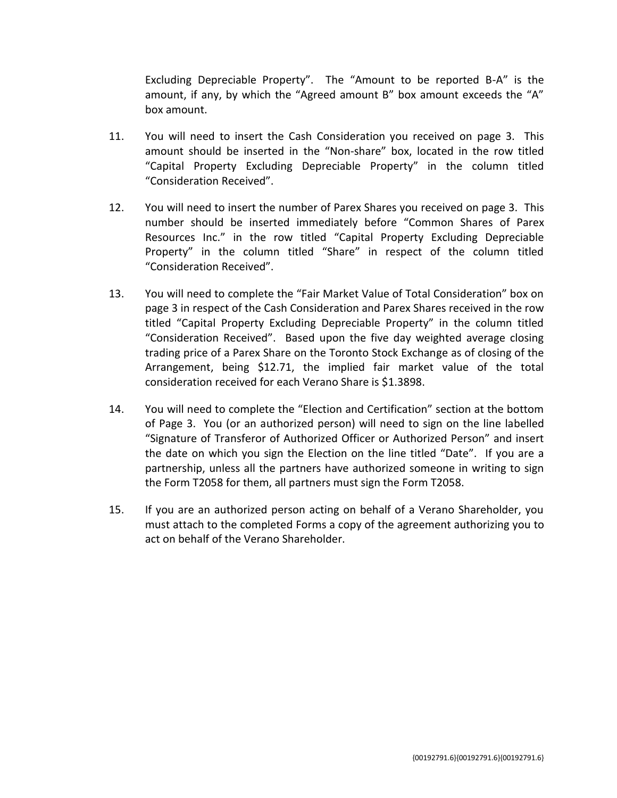Excluding Depreciable Property". The "Amount to be reported B-A" is the amount, if any, by which the "Agreed amount B" box amount exceeds the "A" box amount.

- 11. You will need to insert the Cash Consideration you received on page 3. This amount should be inserted in the "Non-share" box, located in the row titled "Capital Property Excluding Depreciable Property" in the column titled "Consideration Received".
- 12. You will need to insert the number of Parex Shares you received on page 3. This number should be inserted immediately before "Common Shares of Parex Resources Inc." in the row titled "Capital Property Excluding Depreciable Property" in the column titled "Share" in respect of the column titled "Consideration Received".
- 13. You will need to complete the "Fair Market Value of Total Consideration" box on page 3 in respect of the Cash Consideration and Parex Shares received in the row titled "Capital Property Excluding Depreciable Property" in the column titled "Consideration Received". Based upon the five day weighted average closing trading price of a Parex Share on the Toronto Stock Exchange as of closing of the Arrangement, being \$12.71, the implied fair market value of the total consideration received for each Verano Share is \$1.3898.
- 14. You will need to complete the "Election and Certification" section at the bottom of Page 3. You (or an authorized person) will need to sign on the line labelled "Signature of Transferor of Authorized Officer or Authorized Person" and insert the date on which you sign the Election on the line titled "Date". If you are a partnership, unless all the partners have authorized someone in writing to sign the Form T2058 for them, all partners must sign the Form T2058.
- 15. If you are an authorized person acting on behalf of a Verano Shareholder, you must attach to the completed Forms a copy of the agreement authorizing you to act on behalf of the Verano Shareholder.